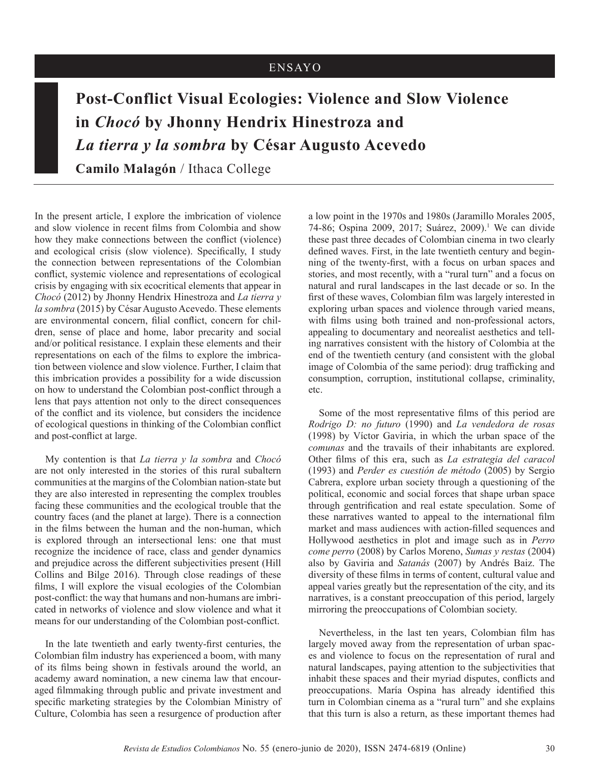## ENSAYO

## **Post-Conflict Visual Ecologies: Violence and Slow Violence in** *Chocó* **by Jhonny Hendrix Hinestroza and** *La tierra y la sombra* **by César Augusto Acevedo**

**Camilo Malagón** / Ithaca College

In the present article, I explore the imbrication of violence and slow violence in recent films from Colombia and show how they make connections between the conflict (violence) and ecological crisis (slow violence). Specifically, I study the connection between representations of the Colombian conflict, systemic violence and representations of ecological crisis by engaging with six ecocritical elements that appear in *Chocó* (2012) by Jhonny Hendrix Hinestroza and *La tierra y la sombra* (2015) by César Augusto Acevedo. These elements are environmental concern, filial conflict, concern for children, sense of place and home, labor precarity and social and/or political resistance. I explain these elements and their representations on each of the films to explore the imbrication between violence and slow violence. Further, I claim that this imbrication provides a possibility for a wide discussion on how to understand the Colombian post-conflict through a lens that pays attention not only to the direct consequences of the conflict and its violence, but considers the incidence of ecological questions in thinking of the Colombian conflict and post-conflict at large.

My contention is that *La tierra y la sombra* and *Chocó*  are not only interested in the stories of this rural subaltern communities at the margins of the Colombian nation-state but they are also interested in representing the complex troubles facing these communities and the ecological trouble that the country faces (and the planet at large). There is a connection in the films between the human and the non-human, which is explored through an intersectional lens: one that must recognize the incidence of race, class and gender dynamics and prejudice across the different subjectivities present (Hill Collins and Bilge 2016). Through close readings of these films, I will explore the visual ecologies of the Colombian post-conflict: the way that humans and non-humans are imbricated in networks of violence and slow violence and what it means for our understanding of the Colombian post-conflict.

In the late twentieth and early twenty-first centuries, the Colombian film industry has experienced a boom, with many of its films being shown in festivals around the world, an academy award nomination, a new cinema law that encouraged filmmaking through public and private investment and specific marketing strategies by the Colombian Ministry of Culture, Colombia has seen a resurgence of production after

a low point in the 1970s and 1980s (Jaramillo Morales 2005, 74-86; Ospina 2009, 2017; Suárez, 2009).1 We can divide these past three decades of Colombian cinema in two clearly defined waves. First, in the late twentieth century and beginning of the twenty-first, with a focus on urban spaces and stories, and most recently, with a "rural turn" and a focus on natural and rural landscapes in the last decade or so. In the first of these waves, Colombian film was largely interested in exploring urban spaces and violence through varied means, with films using both trained and non-professional actors, appealing to documentary and neorealist aesthetics and telling narratives consistent with the history of Colombia at the end of the twentieth century (and consistent with the global image of Colombia of the same period): drug trafficking and consumption, corruption, institutional collapse, criminality, etc.

Some of the most representative films of this period are *Rodrigo D: no futuro* (1990) and *La vendedora de rosas* (1998) by Víctor Gaviria, in which the urban space of the *comunas* and the travails of their inhabitants are explored. Other films of this era, such as *La estrategia del caracol* (1993) and *Perder es cuestión de método* (2005) by Sergio Cabrera, explore urban society through a questioning of the political, economic and social forces that shape urban space through gentrification and real estate speculation. Some of these narratives wanted to appeal to the international film market and mass audiences with action-filled sequences and Hollywood aesthetics in plot and image such as in *Perro come perro* (2008) by Carlos Moreno, *Sumas y restas* (2004) also by Gaviria and *Satanás* (2007) by Andrés Baiz. The diversity of these films in terms of content, cultural value and appeal varies greatly but the representation of the city, and its narratives, is a constant preoccupation of this period, largely mirroring the preoccupations of Colombian society.

Nevertheless, in the last ten years, Colombian film has largely moved away from the representation of urban spaces and violence to focus on the representation of rural and natural landscapes, paying attention to the subjectivities that inhabit these spaces and their myriad disputes, conflicts and preoccupations. María Ospina has already identified this turn in Colombian cinema as a "rural turn" and she explains that this turn is also a return, as these important themes had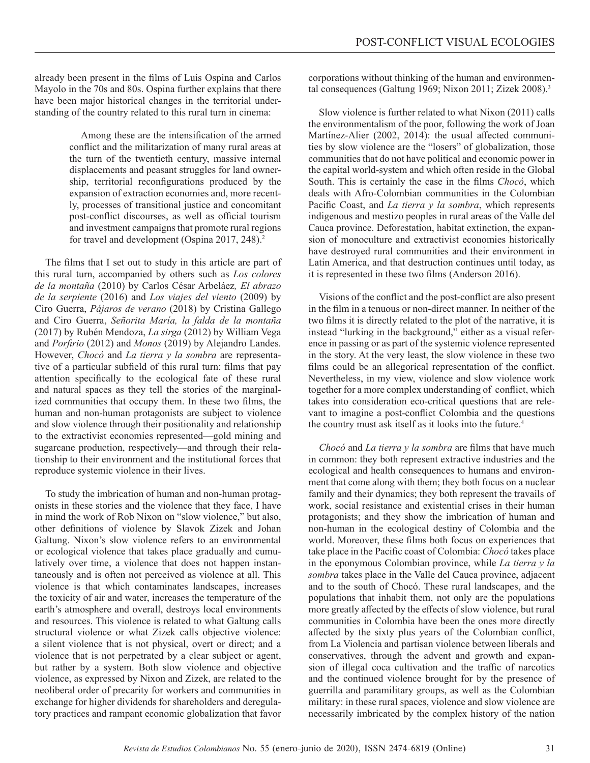already been present in the films of Luis Ospina and Carlos Mayolo in the 70s and 80s. Ospina further explains that there have been major historical changes in the territorial understanding of the country related to this rural turn in cinema:

> Among these are the intensification of the armed conflict and the militarization of many rural areas at the turn of the twentieth century, massive internal displacements and peasant struggles for land ownership, territorial reconfigurations produced by the expansion of extraction economies and, more recently, processes of transitional justice and concomitant post-conflict discourses, as well as official tourism and investment campaigns that promote rural regions for travel and development (Ospina 2017, 248).<sup>2</sup>

The films that I set out to study in this article are part of this rural turn, accompanied by others such as *Los colores de la montaña* (2010) by Carlos César Arbeláez*, El abrazo de la serpiente* (2016) and *Los viajes del viento* (2009) by Ciro Guerra, *Pájaros de verano* (2018) by Cristina Gallego and Ciro Guerra, *Señorita María, la falda de la montaña*  (2017) by Rubén Mendoza, *La sirga* (2012) by William Vega and *Porfirio* (2012) and *Monos* (2019) by Alejandro Landes. However, *Chocó* and *La tierra y la sombra* are representative of a particular subfield of this rural turn: films that pay attention specifically to the ecological fate of these rural and natural spaces as they tell the stories of the marginalized communities that occupy them. In these two films, the human and non-human protagonists are subject to violence and slow violence through their positionality and relationship to the extractivist economies represented—gold mining and sugarcane production, respectively—and through their relationship to their environment and the institutional forces that reproduce systemic violence in their lives.

To study the imbrication of human and non-human protagonists in these stories and the violence that they face, I have in mind the work of Rob Nixon on "slow violence," but also, other definitions of violence by Slavok Zizek and Johan Galtung. Nixon's slow violence refers to an environmental or ecological violence that takes place gradually and cumulatively over time, a violence that does not happen instantaneously and is often not perceived as violence at all. This violence is that which contaminates landscapes, increases the toxicity of air and water, increases the temperature of the earth's atmosphere and overall, destroys local environments and resources. This violence is related to what Galtung calls structural violence or what Zizek calls objective violence: a silent violence that is not physical, overt or direct; and a violence that is not perpetrated by a clear subject or agent, but rather by a system. Both slow violence and objective violence, as expressed by Nixon and Zizek, are related to the neoliberal order of precarity for workers and communities in exchange for higher dividends for shareholders and deregulatory practices and rampant economic globalization that favor corporations without thinking of the human and environmental consequences (Galtung 1969; Nixon 2011; Zizek 2008).<sup>3</sup>

Slow violence is further related to what Nixon (2011) calls the environmentalism of the poor, following the work of Joan Martínez-Alier (2002, 2014): the usual affected communities by slow violence are the "losers" of globalization, those communities that do not have political and economic power in the capital world-system and which often reside in the Global South. This is certainly the case in the films *Chocó*, which deals with Afro-Colombian communities in the Colombian Pacific Coast, and *La tierra y la sombra*, which represents indigenous and mestizo peoples in rural areas of the Valle del Cauca province. Deforestation, habitat extinction, the expansion of monoculture and extractivist economies historically have destroyed rural communities and their environment in Latin America, and that destruction continues until today, as it is represented in these two films (Anderson 2016).

Visions of the conflict and the post-conflict are also present in the film in a tenuous or non-direct manner. In neither of the two films it is directly related to the plot of the narrative, it is instead "lurking in the background," either as a visual reference in passing or as part of the systemic violence represented in the story. At the very least, the slow violence in these two films could be an allegorical representation of the conflict. Nevertheless, in my view, violence and slow violence work together for a more complex understanding of conflict, which takes into consideration eco-critical questions that are relevant to imagine a post-conflict Colombia and the questions the country must ask itself as it looks into the future.<sup>4</sup>

*Chocó* and *La tierra y la sombra* are films that have much in common: they both represent extractive industries and the ecological and health consequences to humans and environment that come along with them; they both focus on a nuclear family and their dynamics; they both represent the travails of work, social resistance and existential crises in their human protagonists; and they show the imbrication of human and non-human in the ecological destiny of Colombia and the world. Moreover, these films both focus on experiences that take place in the Pacific coast of Colombia: *Chocó* takes place in the eponymous Colombian province, while *La tierra y la sombra* takes place in the Valle del Cauca province, adjacent and to the south of Chocó. These rural landscapes, and the populations that inhabit them, not only are the populations more greatly affected by the effects of slow violence, but rural communities in Colombia have been the ones more directly affected by the sixty plus years of the Colombian conflict, from La Violencia and partisan violence between liberals and conservatives, through the advent and growth and expansion of illegal coca cultivation and the traffic of narcotics and the continued violence brought for by the presence of guerrilla and paramilitary groups, as well as the Colombian military: in these rural spaces, violence and slow violence are necessarily imbricated by the complex history of the nation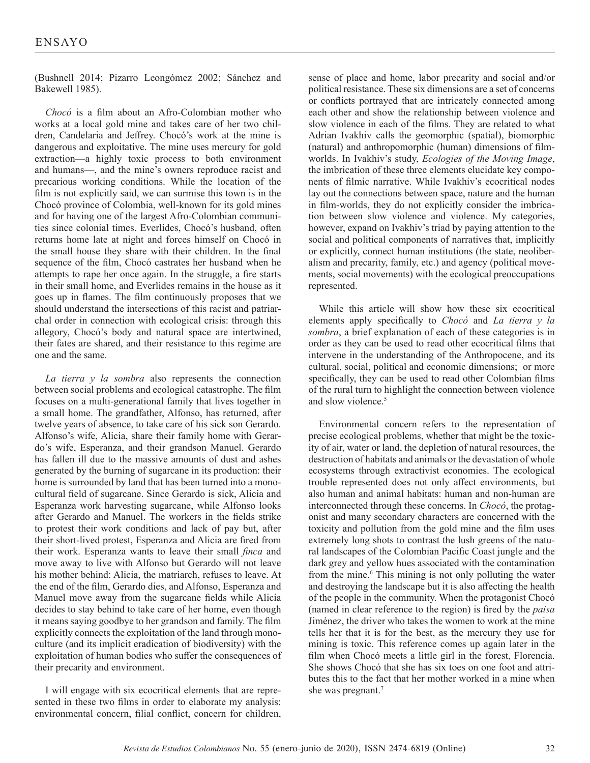(Bushnell 2014; Pizarro Leongómez 2002; Sánchez and Bakewell 1985).

*Chocó* is a film about an Afro-Colombian mother who works at a local gold mine and takes care of her two children, Candelaria and Jeffrey. Chocó's work at the mine is dangerous and exploitative. The mine uses mercury for gold extraction—a highly toxic process to both environment and humans—, and the mine's owners reproduce racist and precarious working conditions. While the location of the film is not explicitly said, we can surmise this town is in the Chocó province of Colombia, well-known for its gold mines and for having one of the largest Afro-Colombian communities since colonial times. Everlides, Chocó's husband, often returns home late at night and forces himself on Chocó in the small house they share with their children. In the final sequence of the film, Chocó castrates her husband when he attempts to rape her once again. In the struggle, a fire starts in their small home, and Everlides remains in the house as it goes up in flames. The film continuously proposes that we should understand the intersections of this racist and patriarchal order in connection with ecological crisis: through this allegory, Chocó's body and natural space are intertwined, their fates are shared, and their resistance to this regime are one and the same.

*La tierra y la sombra* also represents the connection between social problems and ecological catastrophe. The film focuses on a multi-generational family that lives together in a small home. The grandfather, Alfonso, has returned, after twelve years of absence, to take care of his sick son Gerardo. Alfonso's wife, Alicia, share their family home with Gerardo's wife, Esperanza, and their grandson Manuel. Gerardo has fallen ill due to the massive amounts of dust and ashes generated by the burning of sugarcane in its production: their home is surrounded by land that has been turned into a monocultural field of sugarcane. Since Gerardo is sick, Alicia and Esperanza work harvesting sugarcane, while Alfonso looks after Gerardo and Manuel. The workers in the fields strike to protest their work conditions and lack of pay but, after their short-lived protest, Esperanza and Alicia are fired from their work. Esperanza wants to leave their small *finca* and move away to live with Alfonso but Gerardo will not leave his mother behind: Alicia, the matriarch, refuses to leave. At the end of the film, Gerardo dies, and Alfonso, Esperanza and Manuel move away from the sugarcane fields while Alicia decides to stay behind to take care of her home, even though it means saying goodbye to her grandson and family. The film explicitly connects the exploitation of the land through monoculture (and its implicit eradication of biodiversity) with the exploitation of human bodies who suffer the consequences of their precarity and environment.

I will engage with six ecocritical elements that are represented in these two films in order to elaborate my analysis: environmental concern, filial conflict, concern for children,

sense of place and home, labor precarity and social and/or political resistance. These six dimensions are a set of concerns or conflicts portrayed that are intricately connected among each other and show the relationship between violence and slow violence in each of the films. They are related to what Adrian Ivakhiv calls the geomorphic (spatial), biomorphic (natural) and anthropomorphic (human) dimensions of filmworlds. In Ivakhiv's study, *Ecologies of the Moving Image*, the imbrication of these three elements elucidate key components of filmic narrative. While Ivakhiv's ecocritical nodes lay out the connections between space, nature and the human in film-worlds, they do not explicitly consider the imbrication between slow violence and violence. My categories, however, expand on Ivakhiv's triad by paying attention to the social and political components of narratives that, implicitly or explicitly, connect human institutions (the state, neoliberalism and precarity, family, etc.) and agency (political movements, social movements) with the ecological preoccupations represented.

While this article will show how these six ecocritical elements apply specifically to *Chocó* and *La tierra y la sombra*, a brief explanation of each of these categories is in order as they can be used to read other ecocritical films that intervene in the understanding of the Anthropocene, and its cultural, social, political and economic dimensions; or more specifically, they can be used to read other Colombian films of the rural turn to highlight the connection between violence and slow violence.<sup>5</sup>

Environmental concern refers to the representation of precise ecological problems, whether that might be the toxicity of air, water or land, the depletion of natural resources, the destruction of habitats and animals or the devastation of whole ecosystems through extractivist economies. The ecological trouble represented does not only affect environments, but also human and animal habitats: human and non-human are interconnected through these concerns. In *Chocó*, the protagonist and many secondary characters are concerned with the toxicity and pollution from the gold mine and the film uses extremely long shots to contrast the lush greens of the natural landscapes of the Colombian Pacific Coast jungle and the dark grey and yellow hues associated with the contamination from the mine.<sup>6</sup> This mining is not only polluting the water and destroying the landscape but it is also affecting the health of the people in the community. When the protagonist Chocó (named in clear reference to the region) is fired by the *paisa* Jiménez, the driver who takes the women to work at the mine tells her that it is for the best, as the mercury they use for mining is toxic. This reference comes up again later in the film when Chocó meets a little girl in the forest, Florencia. She shows Chocó that she has six toes on one foot and attributes this to the fact that her mother worked in a mine when she was pregnant.7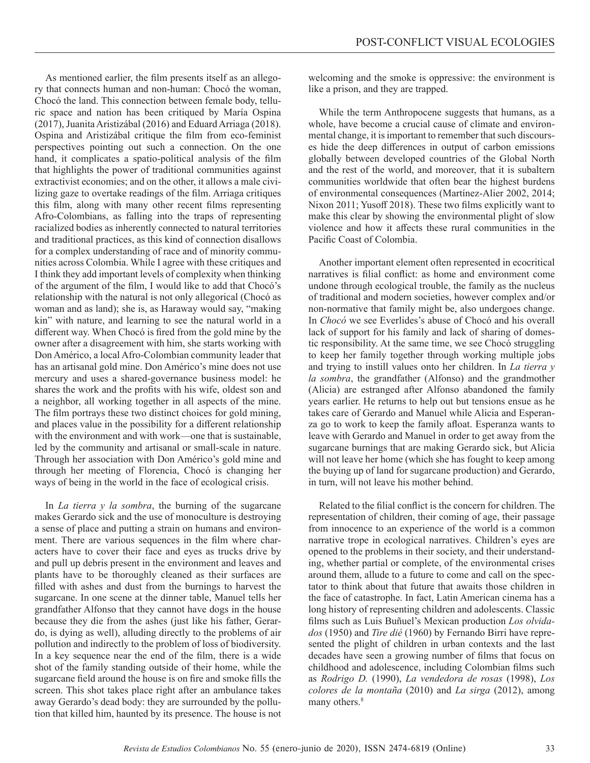As mentioned earlier, the film presents itself as an allegory that connects human and non-human: Chocó the woman, Chocó the land. This connection between female body, telluric space and nation has been critiqued by María Ospina (2017), Juanita Aristizábal (2016) and Eduard Arriaga (2018). Ospina and Aristizábal critique the film from eco-feminist perspectives pointing out such a connection. On the one hand, it complicates a spatio-political analysis of the film that highlights the power of traditional communities against extractivist economies; and on the other, it allows a male civilizing gaze to overtake readings of the film. Arriaga critiques this film, along with many other recent films representing Afro-Colombians, as falling into the traps of representing racialized bodies as inherently connected to natural territories and traditional practices, as this kind of connection disallows for a complex understanding of race and of minority communities across Colombia. While I agree with these critiques and I think they add important levels of complexity when thinking of the argument of the film, I would like to add that Chocó's relationship with the natural is not only allegorical (Chocó as woman and as land); she is, as Haraway would say, "making kin" with nature, and learning to see the natural world in a different way. When Chocó is fired from the gold mine by the owner after a disagreement with him, she starts working with Don Américo, a local Afro-Colombian community leader that has an artisanal gold mine. Don Américo's mine does not use mercury and uses a shared-governance business model: he shares the work and the profits with his wife, oldest son and a neighbor, all working together in all aspects of the mine. The film portrays these two distinct choices for gold mining, and places value in the possibility for a different relationship with the environment and with work—one that is sustainable, led by the community and artisanal or small-scale in nature. Through her association with Don Américo's gold mine and through her meeting of Florencia, Chocó is changing her ways of being in the world in the face of ecological crisis.

In *La tierra y la sombra*, the burning of the sugarcane makes Gerardo sick and the use of monoculture is destroying a sense of place and putting a strain on humans and environment. There are various sequences in the film where characters have to cover their face and eyes as trucks drive by and pull up debris present in the environment and leaves and plants have to be thoroughly cleaned as their surfaces are filled with ashes and dust from the burnings to harvest the sugarcane. In one scene at the dinner table, Manuel tells her grandfather Alfonso that they cannot have dogs in the house because they die from the ashes (just like his father, Gerardo, is dying as well), alluding directly to the problems of air pollution and indirectly to the problem of loss of biodiversity. In a key sequence near the end of the film, there is a wide shot of the family standing outside of their home, while the sugarcane field around the house is on fire and smoke fills the screen. This shot takes place right after an ambulance takes away Gerardo's dead body: they are surrounded by the pollution that killed him, haunted by its presence. The house is not

welcoming and the smoke is oppressive: the environment is like a prison, and they are trapped.

While the term Anthropocene suggests that humans, as a whole, have become a crucial cause of climate and environmental change, it is important to remember that such discourses hide the deep differences in output of carbon emissions globally between developed countries of the Global North and the rest of the world, and moreover, that it is subaltern communities worldwide that often bear the highest burdens of environmental consequences (Martínez-Alier 2002, 2014; Nixon 2011; Yusoff 2018). These two films explicitly want to make this clear by showing the environmental plight of slow violence and how it affects these rural communities in the Pacific Coast of Colombia.

Another important element often represented in ecocritical narratives is filial conflict: as home and environment come undone through ecological trouble, the family as the nucleus of traditional and modern societies, however complex and/or non-normative that family might be, also undergoes change. In *Chocó* we see Everlides's abuse of Chocó and his overall lack of support for his family and lack of sharing of domestic responsibility. At the same time, we see Chocó struggling to keep her family together through working multiple jobs and trying to instill values onto her children. In *La tierra y la sombra*, the grandfather (Alfonso) and the grandmother (Alicia) are estranged after Alfonso abandoned the family years earlier. He returns to help out but tensions ensue as he takes care of Gerardo and Manuel while Alicia and Esperanza go to work to keep the family afloat. Esperanza wants to leave with Gerardo and Manuel in order to get away from the sugarcane burnings that are making Gerardo sick, but Alicia will not leave her home (which she has fought to keep among the buying up of land for sugarcane production) and Gerardo, in turn, will not leave his mother behind.

Related to the filial conflict is the concern for children. The representation of children, their coming of age, their passage from innocence to an experience of the world is a common narrative trope in ecological narratives. Children's eyes are opened to the problems in their society, and their understanding, whether partial or complete, of the environmental crises around them, allude to a future to come and call on the spectator to think about that future that awaits those children in the face of catastrophe. In fact, Latin American cinema has a long history of representing children and adolescents. Classic films such as Luis Buñuel's Mexican production *Los olvidados* (1950) and *Tire dié* (1960) by Fernando Birri have represented the plight of children in urban contexts and the last decades have seen a growing number of films that focus on childhood and adolescence, including Colombian films such as *Rodrigo D.* (1990), *La vendedora de rosas* (1998), *Los colores de la montaña* (2010) and *La sirga* (2012), among many others.<sup>8</sup>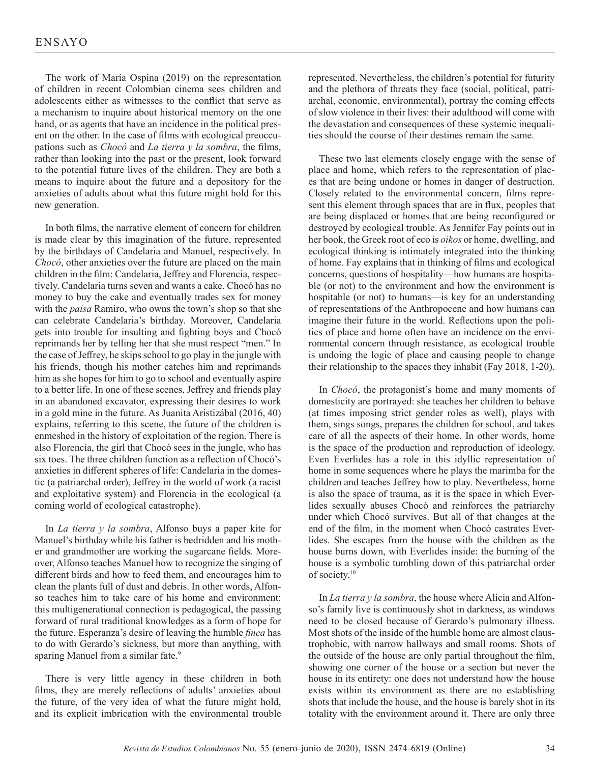The work of María Ospina (2019) on the representation of children in recent Colombian cinema sees children and adolescents either as witnesses to the conflict that serve as a mechanism to inquire about historical memory on the one hand, or as agents that have an incidence in the political present on the other. In the case of films with ecological preoccupations such as *Chocó* and *La tierra y la sombra*, the films, rather than looking into the past or the present, look forward to the potential future lives of the children. They are both a means to inquire about the future and a depository for the anxieties of adults about what this future might hold for this new generation.

In both films, the narrative element of concern for children is made clear by this imagination of the future, represented by the birthdays of Candelaria and Manuel, respectively. In *Chocó*, other anxieties over the future are placed on the main children in the film: Candelaria, Jeffrey and Florencia, respectively. Candelaria turns seven and wants a cake. Chocó has no money to buy the cake and eventually trades sex for money with the *paisa* Ramiro, who owns the town's shop so that she can celebrate Candelaria's birthday. Moreover, Candelaria gets into trouble for insulting and fighting boys and Chocó reprimands her by telling her that she must respect "men." In the case of Jeffrey, he skips school to go play in the jungle with his friends, though his mother catches him and reprimands him as she hopes for him to go to school and eventually aspire to a better life. In one of these scenes, Jeffrey and friends play in an abandoned excavator, expressing their desires to work in a gold mine in the future. As Juanita Aristizábal (2016, 40) explains, referring to this scene, the future of the children is enmeshed in the history of exploitation of the region. There is also Florencia, the girl that Chocó sees in the jungle, who has six toes. The three children function as a reflection of Chocó's anxieties in different spheres of life: Candelaria in the domestic (a patriarchal order), Jeffrey in the world of work (a racist and exploitative system) and Florencia in the ecological (a coming world of ecological catastrophe).

In *La tierra y la sombra*, Alfonso buys a paper kite for Manuel's birthday while his father is bedridden and his mother and grandmother are working the sugarcane fields. Moreover, Alfonso teaches Manuel how to recognize the singing of different birds and how to feed them, and encourages him to clean the plants full of dust and debris. In other words, Alfonso teaches him to take care of his home and environment: this multigenerational connection is pedagogical, the passing forward of rural traditional knowledges as a form of hope for the future. Esperanza's desire of leaving the humble *finca* has to do with Gerardo's sickness, but more than anything, with sparing Manuel from a similar fate.<sup>9</sup>

There is very little agency in these children in both films, they are merely reflections of adults' anxieties about the future, of the very idea of what the future might hold, and its explicit imbrication with the environmental trouble

represented. Nevertheless, the children's potential for futurity and the plethora of threats they face (social, political, patriarchal, economic, environmental), portray the coming effects of slow violence in their lives: their adulthood will come with the devastation and consequences of these systemic inequalities should the course of their destines remain the same.

These two last elements closely engage with the sense of place and home, which refers to the representation of places that are being undone or homes in danger of destruction. Closely related to the environmental concern, films represent this element through spaces that are in flux, peoples that are being displaced or homes that are being reconfigured or destroyed by ecological trouble. As Jennifer Fay points out in her book, the Greek root of eco is *oikos* or home, dwelling, and ecological thinking is intimately integrated into the thinking of home. Fay explains that in thinking of films and ecological concerns, questions of hospitality—how humans are hospitable (or not) to the environment and how the environment is hospitable (or not) to humans—is key for an understanding of representations of the Anthropocene and how humans can imagine their future in the world. Reflections upon the politics of place and home often have an incidence on the environmental concern through resistance, as ecological trouble is undoing the logic of place and causing people to change their relationship to the spaces they inhabit (Fay 2018, 1-20).

In *Chocó*, the protagonist's home and many moments of domesticity are portrayed: she teaches her children to behave (at times imposing strict gender roles as well), plays with them, sings songs, prepares the children for school, and takes care of all the aspects of their home. In other words, home is the space of the production and reproduction of ideology. Even Everlides has a role in this idyllic representation of home in some sequences where he plays the marimba for the children and teaches Jeffrey how to play. Nevertheless, home is also the space of trauma, as it is the space in which Everlides sexually abuses Chocó and reinforces the patriarchy under which Chocó survives. But all of that changes at the end of the film, in the moment when Chocó castrates Everlides. She escapes from the house with the children as the house burns down, with Everlides inside: the burning of the house is a symbolic tumbling down of this patriarchal order of society.10

In *La tierra y la sombra*, the house where Alicia and Alfonso's family live is continuously shot in darkness, as windows need to be closed because of Gerardo's pulmonary illness. Most shots of the inside of the humble home are almost claustrophobic, with narrow hallways and small rooms. Shots of the outside of the house are only partial throughout the film, showing one corner of the house or a section but never the house in its entirety: one does not understand how the house exists within its environment as there are no establishing shots that include the house, and the house is barely shot in its totality with the environment around it. There are only three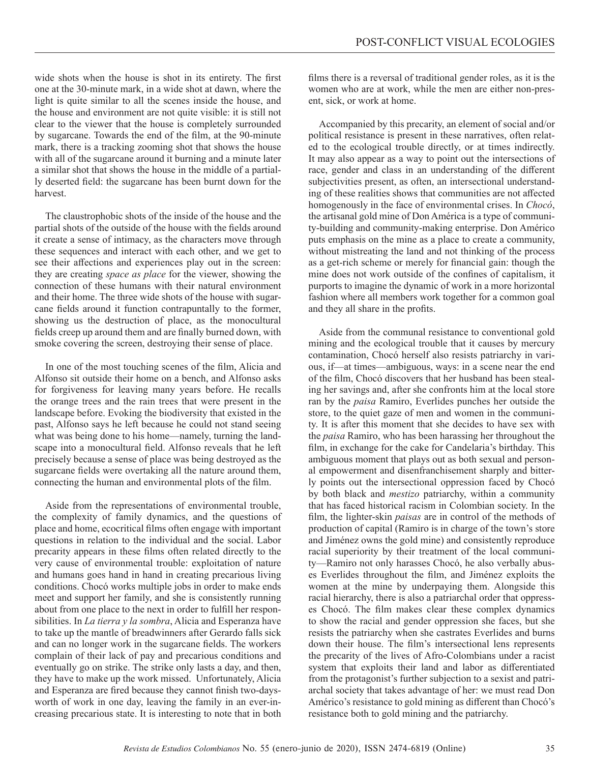wide shots when the house is shot in its entirety. The first one at the 30-minute mark, in a wide shot at dawn, where the light is quite similar to all the scenes inside the house, and the house and environment are not quite visible: it is still not clear to the viewer that the house is completely surrounded by sugarcane. Towards the end of the film, at the 90-minute mark, there is a tracking zooming shot that shows the house with all of the sugarcane around it burning and a minute later a similar shot that shows the house in the middle of a partially deserted field: the sugarcane has been burnt down for the harvest.

The claustrophobic shots of the inside of the house and the partial shots of the outside of the house with the fields around it create a sense of intimacy, as the characters move through these sequences and interact with each other, and we get to see their affections and experiences play out in the screen: they are creating *space as place* for the viewer, showing the connection of these humans with their natural environment and their home. The three wide shots of the house with sugarcane fields around it function contrapuntally to the former, showing us the destruction of place, as the monocultural fields creep up around them and are finally burned down, with smoke covering the screen, destroying their sense of place.

In one of the most touching scenes of the film, Alicia and Alfonso sit outside their home on a bench, and Alfonso asks for forgiveness for leaving many years before. He recalls the orange trees and the rain trees that were present in the landscape before. Evoking the biodiversity that existed in the past, Alfonso says he left because he could not stand seeing what was being done to his home—namely, turning the landscape into a monocultural field. Alfonso reveals that he left precisely because a sense of place was being destroyed as the sugarcane fields were overtaking all the nature around them, connecting the human and environmental plots of the film.

Aside from the representations of environmental trouble, the complexity of family dynamics, and the questions of place and home, ecocritical films often engage with important questions in relation to the individual and the social. Labor precarity appears in these films often related directly to the very cause of environmental trouble: exploitation of nature and humans goes hand in hand in creating precarious living conditions. Chocó works multiple jobs in order to make ends meet and support her family, and she is consistently running about from one place to the next in order to fulfill her responsibilities. In *La tierra y la sombra*, Alicia and Esperanza have to take up the mantle of breadwinners after Gerardo falls sick and can no longer work in the sugarcane fields. The workers complain of their lack of pay and precarious conditions and eventually go on strike. The strike only lasts a day, and then, they have to make up the work missed. Unfortunately, Alicia and Esperanza are fired because they cannot finish two-daysworth of work in one day, leaving the family in an ever-increasing precarious state. It is interesting to note that in both

films there is a reversal of traditional gender roles, as it is the women who are at work, while the men are either non-present, sick, or work at home.

Accompanied by this precarity, an element of social and/or political resistance is present in these narratives, often related to the ecological trouble directly, or at times indirectly. It may also appear as a way to point out the intersections of race, gender and class in an understanding of the different subjectivities present, as often, an intersectional understanding of these realities shows that communities are not affected homogenously in the face of environmental crises. In *Chocó*, the artisanal gold mine of Don América is a type of community-building and community-making enterprise. Don Américo puts emphasis on the mine as a place to create a community, without mistreating the land and not thinking of the process as a get-rich scheme or merely for financial gain: though the mine does not work outside of the confines of capitalism, it purports to imagine the dynamic of work in a more horizontal fashion where all members work together for a common goal and they all share in the profits.

Aside from the communal resistance to conventional gold mining and the ecological trouble that it causes by mercury contamination, Chocó herself also resists patriarchy in various, if—at times—ambiguous, ways: in a scene near the end of the film, Chocó discovers that her husband has been stealing her savings and, after she confronts him at the local store ran by the *paisa* Ramiro, Everlides punches her outside the store, to the quiet gaze of men and women in the community. It is after this moment that she decides to have sex with the *paisa* Ramiro, who has been harassing her throughout the film, in exchange for the cake for Candelaria's birthday. This ambiguous moment that plays out as both sexual and personal empowerment and disenfranchisement sharply and bitterly points out the intersectional oppression faced by Chocó by both black and *mestizo* patriarchy, within a community that has faced historical racism in Colombian society. In the film, the lighter-skin *paisas* are in control of the methods of production of capital (Ramiro is in charge of the town's store and Jiménez owns the gold mine) and consistently reproduce racial superiority by their treatment of the local community—Ramiro not only harasses Chocó, he also verbally abuses Everlides throughout the film, and Jiménez exploits the women at the mine by underpaying them. Alongside this racial hierarchy, there is also a patriarchal order that oppresses Chocó. The film makes clear these complex dynamics to show the racial and gender oppression she faces, but she resists the patriarchy when she castrates Everlides and burns down their house. The film's intersectional lens represents the precarity of the lives of Afro-Colombians under a racist system that exploits their land and labor as differentiated from the protagonist's further subjection to a sexist and patriarchal society that takes advantage of her: we must read Don Américo's resistance to gold mining as different than Chocó's resistance both to gold mining and the patriarchy.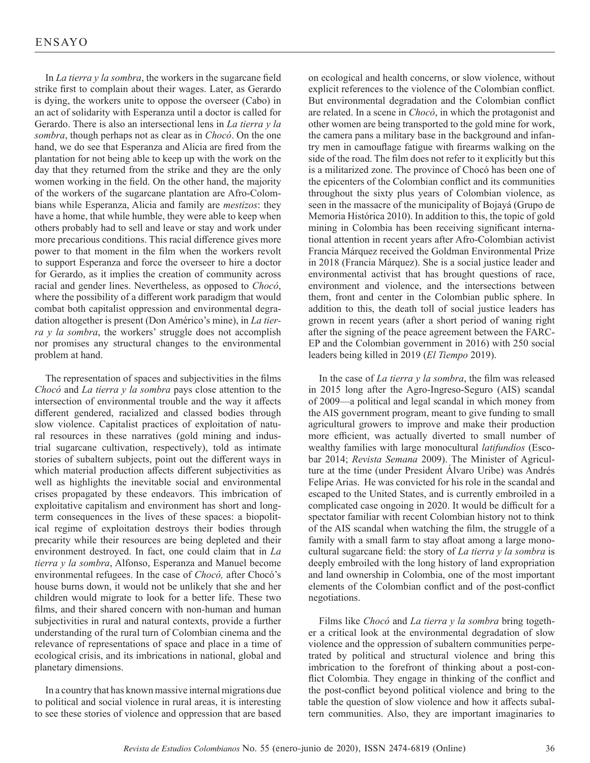In *La tierra y la sombra*, the workers in the sugarcane field strike first to complain about their wages. Later, as Gerardo is dying, the workers unite to oppose the overseer (Cabo) in an act of solidarity with Esperanza until a doctor is called for Gerardo. There is also an intersectional lens in *La tierra y la sombra*, though perhaps not as clear as in *Chocó*. On the one hand, we do see that Esperanza and Alicia are fired from the plantation for not being able to keep up with the work on the day that they returned from the strike and they are the only women working in the field. On the other hand, the majority of the workers of the sugarcane plantation are Afro-Colombians while Esperanza, Alicia and family are *mestizos*: they have a home, that while humble, they were able to keep when others probably had to sell and leave or stay and work under more precarious conditions. This racial difference gives more power to that moment in the film when the workers revolt to support Esperanza and force the overseer to hire a doctor for Gerardo, as it implies the creation of community across racial and gender lines. Nevertheless, as opposed to *Chocó*, where the possibility of a different work paradigm that would combat both capitalist oppression and environmental degradation altogether is present (Don Américo's mine), in *La tierra y la sombra*, the workers' struggle does not accomplish nor promises any structural changes to the environmental problem at hand.

The representation of spaces and subjectivities in the films *Chocó* and *La tierra y la sombra* pays close attention to the intersection of environmental trouble and the way it affects different gendered, racialized and classed bodies through slow violence. Capitalist practices of exploitation of natural resources in these narratives (gold mining and industrial sugarcane cultivation, respectively), told as intimate stories of subaltern subjects, point out the different ways in which material production affects different subjectivities as well as highlights the inevitable social and environmental crises propagated by these endeavors. This imbrication of exploitative capitalism and environment has short and longterm consequences in the lives of these spaces: a biopolitical regime of exploitation destroys their bodies through precarity while their resources are being depleted and their environment destroyed. In fact, one could claim that in *La tierra y la sombra*, Alfonso, Esperanza and Manuel become environmental refugees. In the case of *Chocó,* after Chocó's house burns down, it would not be unlikely that she and her children would migrate to look for a better life. These two films, and their shared concern with non-human and human subjectivities in rural and natural contexts, provide a further understanding of the rural turn of Colombian cinema and the relevance of representations of space and place in a time of ecological crisis, and its imbrications in national, global and planetary dimensions.

In a country that has known massive internal migrations due to political and social violence in rural areas, it is interesting to see these stories of violence and oppression that are based

on ecological and health concerns, or slow violence, without explicit references to the violence of the Colombian conflict. But environmental degradation and the Colombian conflict are related. In a scene in *Chocó*, in which the protagonist and other women are being transported to the gold mine for work, the camera pans a military base in the background and infantry men in camouflage fatigue with firearms walking on the side of the road. The film does not refer to it explicitly but this is a militarized zone. The province of Chocó has been one of the epicenters of the Colombian conflict and its communities throughout the sixty plus years of Colombian violence, as seen in the massacre of the municipality of Bojayá (Grupo de Memoria Histórica 2010). In addition to this, the topic of gold mining in Colombia has been receiving significant international attention in recent years after Afro-Colombian activist Francia Márquez received the Goldman Environmental Prize in 2018 (Francia Márquez). She is a social justice leader and environmental activist that has brought questions of race, environment and violence, and the intersections between them, front and center in the Colombian public sphere. In addition to this, the death toll of social justice leaders has grown in recent years (after a short period of waning right after the signing of the peace agreement between the FARC-EP and the Colombian government in 2016) with 250 social leaders being killed in 2019 (*El Tiempo* 2019).

In the case of *La tierra y la sombra*, the film was released in 2015 long after the Agro-Ingreso-Seguro (AIS) scandal of 2009—a political and legal scandal in which money from the AIS government program, meant to give funding to small agricultural growers to improve and make their production more efficient, was actually diverted to small number of wealthy families with large monocultural *latifundios* (Escobar 2014; *Revista Semana* 2009). The Minister of Agriculture at the time (under President Álvaro Uribe) was Andrés Felipe Arias. He was convicted for his role in the scandal and escaped to the United States, and is currently embroiled in a complicated case ongoing in 2020. It would be difficult for a spectator familiar with recent Colombian history not to think of the AIS scandal when watching the film, the struggle of a family with a small farm to stay afloat among a large monocultural sugarcane field: the story of *La tierra y la sombra* is deeply embroiled with the long history of land expropriation and land ownership in Colombia, one of the most important elements of the Colombian conflict and of the post-conflict negotiations.

Films like *Chocó* and *La tierra y la sombra* bring together a critical look at the environmental degradation of slow violence and the oppression of subaltern communities perpetrated by political and structural violence and bring this imbrication to the forefront of thinking about a post-conflict Colombia. They engage in thinking of the conflict and the post-conflict beyond political violence and bring to the table the question of slow violence and how it affects subaltern communities. Also, they are important imaginaries to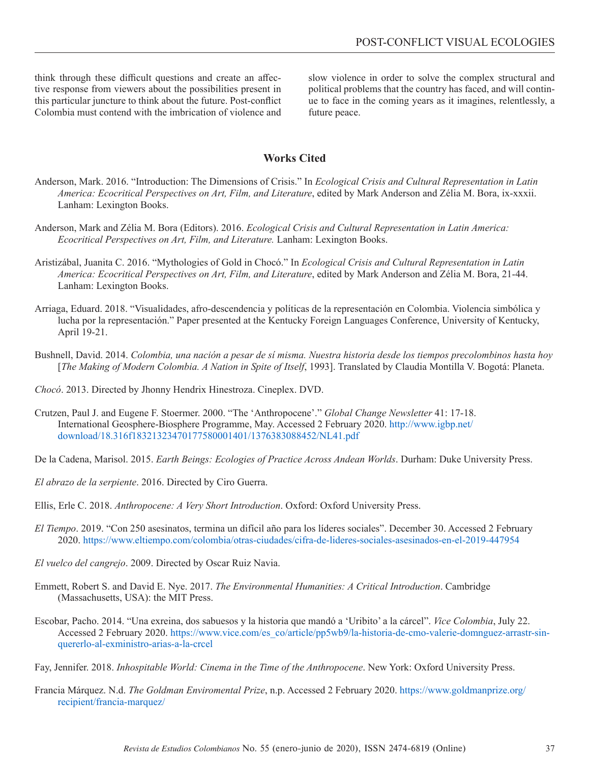think through these difficult questions and create an affective response from viewers about the possibilities present in this particular juncture to think about the future. Post-conflict Colombia must contend with the imbrication of violence and

slow violence in order to solve the complex structural and political problems that the country has faced, and will continue to face in the coming years as it imagines, relentlessly, a future peace.

## **Works Cited**

- Anderson, Mark. 2016. "Introduction: The Dimensions of Crisis." In *Ecological Crisis and Cultural Representation in Latin America: Ecocritical Perspectives on Art, Film, and Literature*, edited by Mark Anderson and Zélia M. Bora, ix-xxxii. Lanham: Lexington Books.
- Anderson, Mark and Zélia M. Bora (Editors). 2016. *Ecological Crisis and Cultural Representation in Latin America: Ecocritical Perspectives on Art, Film, and Literature.* Lanham: Lexington Books.
- Aristizábal, Juanita C. 2016. "Mythologies of Gold in Chocó." In *Ecological Crisis and Cultural Representation in Latin America: Ecocritical Perspectives on Art, Film, and Literature*, edited by Mark Anderson and Zélia M. Bora, 21-44. Lanham: Lexington Books.
- Arriaga, Eduard. 2018. "Visualidades, afro-descendencia y políticas de la representación en Colombia. Violencia simbólica y lucha por la representación." Paper presented at the Kentucky Foreign Languages Conference, University of Kentucky, April 19-21.
- Bushnell, David. 2014. *Colombia, una nación a pesar de sí misma. Nuestra historia desde los tiempos precolombinos hasta hoy* [*The Making of Modern Colombia. A Nation in Spite of Itself*, 1993]. Translated by Claudia Montilla V. Bogotá: Planeta.
- *Chocó*. 2013. Directed by Jhonny Hendrix Hinestroza. Cineplex. DVD.
- Crutzen, Paul J. and Eugene F. Stoermer. 2000. "The 'Anthropocene'." *Global Change Newsletter* 41: 17-18. International Geosphere-Biosphere Programme, May. Accessed 2 February 2020. [http://www.igbp.net/](http://www.igbp.net/download/18.316f18321323470177580001401/1376383088452/NL41.pdf) [download/18.316f18321323470177580001401/1376383088452/NL41.pdf](http://www.igbp.net/download/18.316f18321323470177580001401/1376383088452/NL41.pdf)
- De la Cadena, Marisol. 2015. *Earth Beings: Ecologies of Practice Across Andean Worlds*. Durham: Duke University Press.
- *El abrazo de la serpiente*. 2016. Directed by Ciro Guerra.
- Ellis, Erle C. 2018. *Anthropocene: A Very Short Introduction*. Oxford: Oxford University Press.
- *El Tiempo*. 2019. "Con 250 asesinatos, termina un difícil año para los líderes sociales". December 30. Accessed 2 February 2020.<https://www.eltiempo.com/colombia/otras-ciudades/cifra-de-lideres-sociales-asesinados-en-el-2019-447954>
- *El vuelco del cangrejo*. 2009. Directed by Oscar Ruiz Navia.
- Emmett, Robert S. and David E. Nye. 2017. *The Environmental Humanities: A Critical Introduction*. Cambridge (Massachusetts, USA): the MIT Press.
- Escobar, Pacho. 2014. "Una exreina, dos sabuesos y la historia que mandó a 'Uribito' a la cárcel". *Vice Colombia*, July 22. Accessed 2 February 2020. [https://www.vice.com/es\\_co/article/pp5wb9/la-historia-de-cmo-valerie-domnguez-arrastr-sin](https://www.vice.com/es_co/article/pp5wb9/la-historia-de-cmo-valerie-domnguez-arrastr-sin-quererlo-al-exministro-arias-a-la-crcel)[quererlo-al-exministro-arias-a-la-crcel](https://www.vice.com/es_co/article/pp5wb9/la-historia-de-cmo-valerie-domnguez-arrastr-sin-quererlo-al-exministro-arias-a-la-crcel)
- Fay, Jennifer. 2018. *Inhospitable World: Cinema in the Time of the Anthropocene*. New York: Oxford University Press.
- Francia Márquez. N.d. *The Goldman Enviromental Prize*, n.p. Accessed 2 February 2020. [https://www.goldmanprize.org/](https://www.goldmanprize.org/recipient/francia-marquez/) [recipient/francia-marquez/](https://www.goldmanprize.org/recipient/francia-marquez/)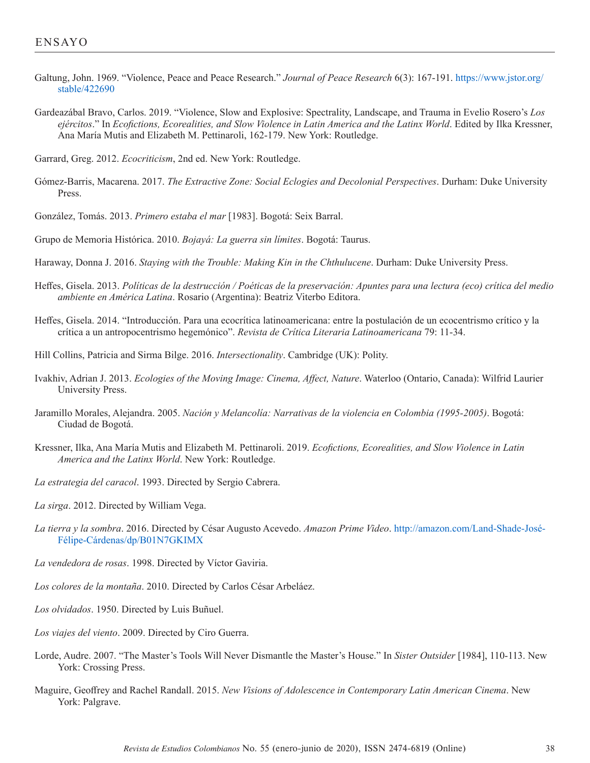- Galtung, John. 1969. "Violence, Peace and Peace Research." *Journal of Peace Research* 6(3): 167-191. [https://www.jstor.org/](https://www.jstor.org/stable/422690) [stable/422690](https://www.jstor.org/stable/422690)
- Gardeazábal Bravo, Carlos. 2019. "Violence, Slow and Explosive: Spectrality, Landscape, and Trauma in Evelio Rosero's *Los ejércitos*." In *Ecofictions, Ecorealities, and Slow Violence in Latin America and the Latinx World*. Edited by Ilka Kressner, Ana María Mutis and Elizabeth M. Pettinaroli, 162-179. New York: Routledge.

Garrard, Greg. 2012. *Ecocriticism*, 2nd ed. New York: Routledge.

- Gómez-Barris, Macarena. 2017. *The Extractive Zone: Social Eclogies and Decolonial Perspectives*. Durham: Duke University Press.
- González, Tomás. 2013. *Primero estaba el mar* [1983]. Bogotá: Seix Barral.

Grupo de Memoria Histórica. 2010. *Bojayá: La guerra sin límites*. Bogotá: Taurus.

- Haraway, Donna J. 2016. *Staying with the Trouble: Making Kin in the Chthulucene*. Durham: Duke University Press.
- Heffes, Gisela. 2013. *Políticas de la destrucción / Poéticas de la preservación: Apuntes para una lectura (eco) crítica del medio ambiente en América Latina*. Rosario (Argentina): Beatriz Viterbo Editora.
- Heffes, Gisela. 2014. "Introducción. Para una ecocrítica latinoamericana: entre la postulación de un ecocentrismo crítico y la crítica a un antropocentrismo hegemónico". *Revista de Crítica Literaria Latinoamericana* 79: 11-34.
- Hill Collins, Patricia and Sirma Bilge. 2016. *Intersectionality*. Cambridge (UK): Polity.
- Ivakhiv, Adrian J. 2013. *Ecologies of the Moving Image: Cinema, Affect, Nature*. Waterloo (Ontario, Canada): Wilfrid Laurier University Press.
- Jaramillo Morales, Alejandra. 2005. *Nación y Melancolía: Narrativas de la violencia en Colombia (1995-2005)*. Bogotá: Ciudad de Bogotá.
- Kressner, Ilka, Ana María Mutis and Elizabeth M. Pettinaroli. 2019. *Ecofictions, Ecorealities, and Slow Violence in Latin America and the Latinx World*. New York: Routledge.
- *La estrategia del caracol*. 1993. Directed by Sergio Cabrera.
- *La sirga*. 2012. Directed by William Vega.
- *La tierra y la sombra*. 2016. Directed by César Augusto Acevedo. *Amazon Prime Video*. [http://amazon.com/Land-Shade-José-](http://amazon.com/Land-Shade-José-Félipe-Cárdenas/dp/B01N7GKIMX)[Félipe-Cárdenas/dp/B01N7GKIMX](http://amazon.com/Land-Shade-José-Félipe-Cárdenas/dp/B01N7GKIMX)
- *La vendedora de rosas*. 1998. Directed by Víctor Gaviria.
- *Los colores de la montaña*. 2010. Directed by Carlos César Arbeláez.
- *Los olvidados*. 1950. Directed by Luis Buñuel.
- *Los viajes del viento*. 2009. Directed by Ciro Guerra.
- Lorde, Audre. 2007. "The Master's Tools Will Never Dismantle the Master's House." In *Sister Outsider* [1984], 110-113. New York: Crossing Press.
- Maguire, Geoffrey and Rachel Randall. 2015. *New Visions of Adolescence in Contemporary Latin American Cinema*. New York: Palgrave.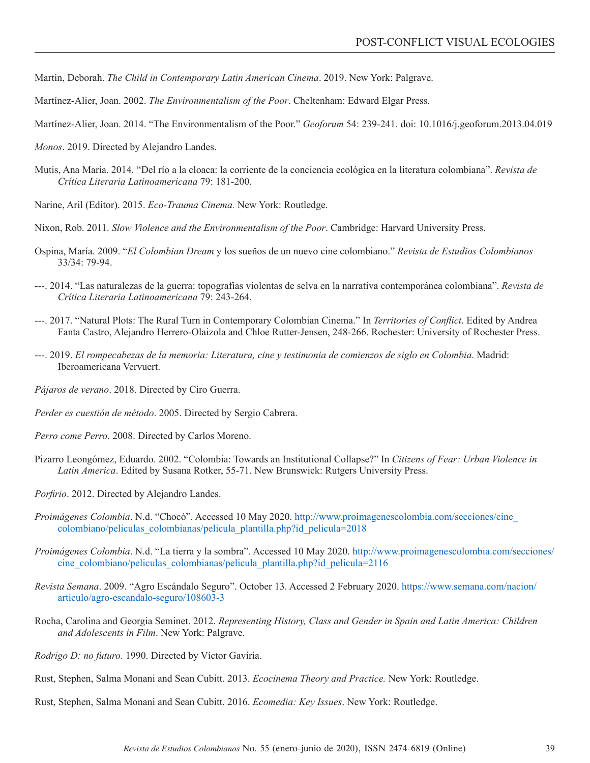Martin, Deborah. *The Child in Contemporary Latin American Cinema*. 2019. New York: Palgrave.

Martínez-Alier, Joan. 2002. *The Environmentalism of the Poor*. Cheltenham: Edward Elgar Press.

Martínez-Alier, Joan. 2014. "The Environmentalism of the Poor." *Geoforum* 54: 239-241. doi: [10.1016/j.geoforum.2013.04.019](https://doi.org/10.1016/j.geoforum.2013.04.019)

*Monos*. 2019. Directed by Alejandro Landes.

Mutis, Ana María. 2014. "Del río a la cloaca: la corriente de la conciencia ecológica en la literatura colombiana". *Revista de Crítica Literaria Latinoamericana* 79: 181-200.

Narine, Aril (Editor). 2015. *Eco-Trauma Cinema.* New York: Routledge.

Nixon, Rob. 2011. *Slow Violence and the Environmentalism of the Poor*. Cambridge: Harvard University Press.

- Ospina, María. 2009. "*El Colombian Dream* y los sueños de un nuevo cine colombiano." *Revista de Estudios Colombianos* 33/34: 79-94.
- ---. 2014. "Las naturalezas de la guerra: topografías violentas de selva en la narrativa contemporánea colombiana". *Revista de Crítica Literaria Latinoamericana* 79: 243-264.
- ---. 2017. "Natural Plots: The Rural Turn in Contemporary Colombian Cinema." In *Territories of Conflict*. Edited by Andrea Fanta Castro, Alejandro Herrero-Olaizola and Chloe Rutter-Jensen, 248-266. Rochester: University of Rochester Press.
- ---. 2019. *El rompecabezas de la memoria: Literatura, cine y testimonia de comienzos de siglo en Colombia*. Madrid: Iberoamericana Vervuert.
- *Pájaros de verano*. 2018. Directed by Ciro Guerra.

*Perder es cuestión de método*. 2005. Directed by Sergio Cabrera.

*Perro come Perro*. 2008. Directed by Carlos Moreno.

- Pizarro Leongómez, Eduardo. 2002. "Colombia: Towards an Institutional Collapse?" In *Citizens of Fear: Urban Violence in Latin America*. Edited by Susana Rotker, 55-71. New Brunswick: Rutgers University Press.
- *Porfirio*. 2012. Directed by Alejandro Landes.
- *Proimágenes Colombia*. N.d. "Chocó". Accessed 10 May 2020. [http://www.proimagenescolombia.com/secciones/cine\\_](http://www.proimagenescolombia.com/secciones/cine_colombiano/peliculas_colombianas/pelicula_plantilla.php?id_pelicula=2018) [colombiano/peliculas\\_colombianas/pelicula\\_plantilla.php?id\\_pelicula=2018](http://www.proimagenescolombia.com/secciones/cine_colombiano/peliculas_colombianas/pelicula_plantilla.php?id_pelicula=2018)
- *Proimágenes Colombia*. N.d. "La tierra y la sombra". Accessed 10 May 2020. [http://www.proimagenescolombia.com/secciones/](http://www.proimagenescolombia.com/secciones/cine_colombiano/peliculas_colombianas/pelicula_plantilla.php?id_pelicula=2116) [cine\\_colombiano/peliculas\\_colombianas/pelicula\\_plantilla.php?id\\_pelicula=2116](http://www.proimagenescolombia.com/secciones/cine_colombiano/peliculas_colombianas/pelicula_plantilla.php?id_pelicula=2116)
- *Revista Semana*. 2009. "Agro Escándalo Seguro". October 13. Accessed 2 February 2020. [https://www.semana.com/nacion/](https://www.semana.com/nacion/articulo/agro-escandalo-seguro/108603-3) [articulo/agro-escandalo-seguro/108603-3](https://www.semana.com/nacion/articulo/agro-escandalo-seguro/108603-3)
- Rocha, Carolina and Georgia Seminet. 2012. *Representing History, Class and Gender in Spain and Latin America: Children and Adolescents in Film*. New York: Palgrave.
- *Rodrigo D: no futuro.* 1990. Directed by Víctor Gaviria.
- Rust, Stephen, Salma Monani and Sean Cubitt. 2013. *Ecocinema Theory and Practice.* New York: Routledge.
- Rust, Stephen, Salma Monani and Sean Cubitt. 2016. *Ecomedia: Key Issues*. New York: Routledge.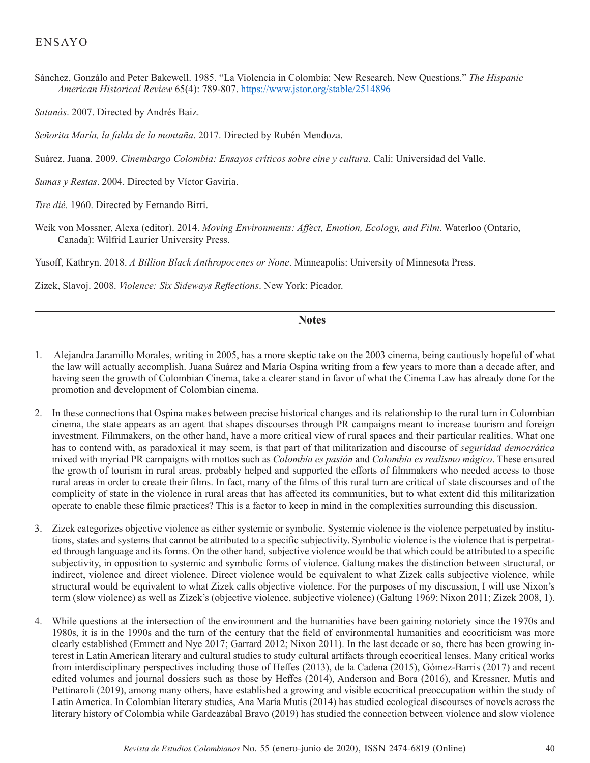Sánchez, Gonzálo and Peter Bakewell. 1985. "La Violencia in Colombia: New Research, New Questions." *The Hispanic American Historical Review* 65(4): 789-807.<https://www.jstor.org/stable/2514896>

*Satanás*. 2007. Directed by Andrés Baiz.

*Señorita María, la falda de la montaña*. 2017. Directed by Rubén Mendoza.

Suárez, Juana. 2009. *Cinembargo Colombia: Ensayos críticos sobre cine y cultura*. Cali: Universidad del Valle.

*Sumas y Restas*. 2004. Directed by Víctor Gaviria.

*Tire dié.* 1960. Directed by Fernando Birri.

Weik von Mossner, Alexa (editor). 2014. *Moving Environments: Affect, Emotion, Ecology, and Film*. Waterloo (Ontario, Canada): Wilfrid Laurier University Press.

Yusoff, Kathryn. 2018. *A Billion Black Anthropocenes or None*. Minneapolis: University of Minnesota Press.

Zizek, Slavoj. 2008. *Violence: Six Sideways Reflections*. New York: Picador.

## **Notes**

- 1. Alejandra Jaramillo Morales, writing in 2005, has a more skeptic take on the 2003 cinema, being cautiously hopeful of what the law will actually accomplish. Juana Suárez and María Ospina writing from a few years to more than a decade after, and having seen the growth of Colombian Cinema, take a clearer stand in favor of what the Cinema Law has already done for the promotion and development of Colombian cinema.
- 2. In these connections that Ospina makes between precise historical changes and its relationship to the rural turn in Colombian cinema, the state appears as an agent that shapes discourses through PR campaigns meant to increase tourism and foreign investment. Filmmakers, on the other hand, have a more critical view of rural spaces and their particular realities. What one has to contend with, as paradoxical it may seem, is that part of that militarization and discourse of *seguridad democrática*  mixed with myriad PR campaigns with mottos such as *Colombia es pasión* and *Colombia es realismo mágico*. These ensured the growth of tourism in rural areas, probably helped and supported the efforts of filmmakers who needed access to those rural areas in order to create their films. In fact, many of the films of this rural turn are critical of state discourses and of the complicity of state in the violence in rural areas that has affected its communities, but to what extent did this militarization operate to enable these filmic practices? This is a factor to keep in mind in the complexities surrounding this discussion.
- 3. Zizek categorizes objective violence as either systemic or symbolic. Systemic violence is the violence perpetuated by institutions, states and systems that cannot be attributed to a specific subjectivity. Symbolic violence is the violence that is perpetrated through language and its forms. On the other hand, subjective violence would be that which could be attributed to a specific subjectivity, in opposition to systemic and symbolic forms of violence. Galtung makes the distinction between structural, or indirect, violence and direct violence. Direct violence would be equivalent to what Zizek calls subjective violence, while structural would be equivalent to what Zizek calls objective violence. For the purposes of my discussion, I will use Nixon's term (slow violence) as well as Zizek's (objective violence, subjective violence) (Galtung 1969; Nixon 2011; Zizek 2008, 1).
- 4. While questions at the intersection of the environment and the humanities have been gaining notoriety since the 1970s and 1980s, it is in the 1990s and the turn of the century that the field of environmental humanities and ecocriticism was more clearly established (Emmett and Nye 2017; Garrard 2012; Nixon 2011). In the last decade or so, there has been growing interest in Latin American literary and cultural studies to study cultural artifacts through ecocritical lenses. Many critical works from interdisciplinary perspectives including those of Heffes (2013), de la Cadena (2015), Gómez-Barris (2017) and recent edited volumes and journal dossiers such as those by Heffes (2014), Anderson and Bora (2016), and Kressner, Mutis and Pettinaroli (2019), among many others, have established a growing and visible ecocritical preoccupation within the study of Latin America. In Colombian literary studies, Ana María Mutis (2014) has studied ecological discourses of novels across the literary history of Colombia while Gardeazábal Bravo (2019) has studied the connection between violence and slow violence